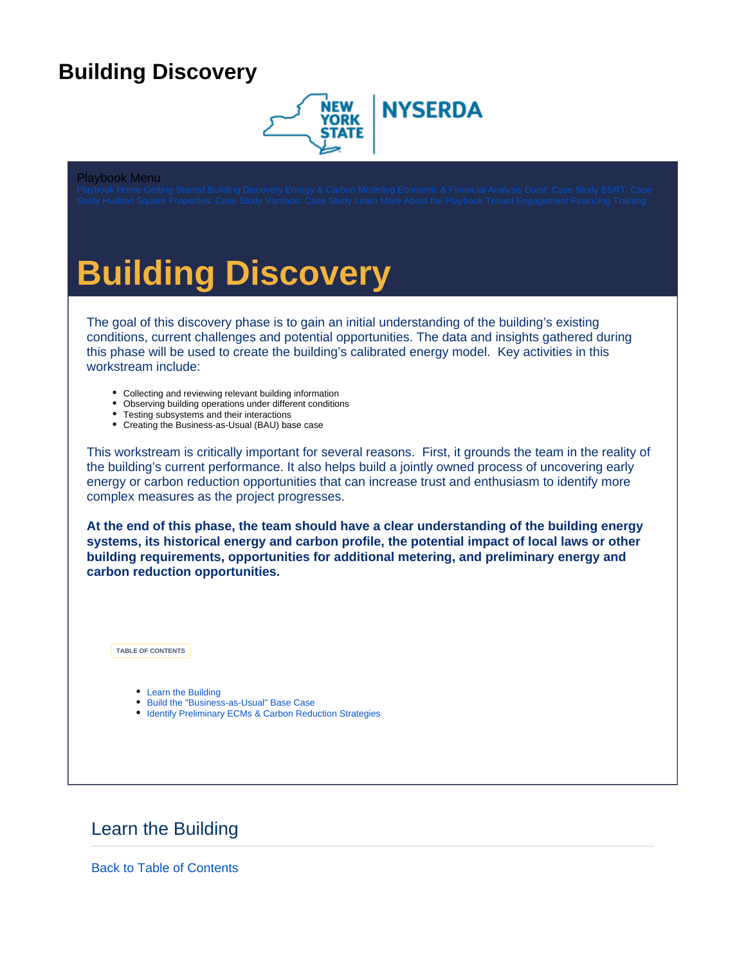# <span id="page-0-0"></span>**Building Discovery**



#### Playbook Menu

# **Building Discovery**

The goal of this discovery phase is to gain an initial understanding of the building's existing conditions, current challenges and potential opportunities. The data and insights gathered during this phase will be used to create the building's calibrated energy model. Key activities in this workstream include:

- Collecting and reviewing relevant building information
- Observing building operations under different conditions
- Testing subsystems and their interactions
- Creating the Business-as-Usual (BAU) base case

This workstream is critically important for several reasons. First, it grounds the team in the reality of the building's current performance. It also helps build a jointly owned process of uncovering early energy or carbon reduction opportunities that can increase trust and enthusiasm to identify more complex measures as the project progresses.

**At the end of this phase, the team should have a clear understanding of the building energy systems, its historical energy and carbon profile, the potential impact of local laws or other building requirements, opportunities for additional metering, and preliminary energy and carbon reduction opportunities.** 

<span id="page-0-2"></span>**TABLE OF CONTENTS**

- [Learn the Building](#page-0-1)
- [Build the "Business-as-Usual" Base Case](#page-8-0)
- [Identify Preliminary ECMs & Carbon Reduction Strategies](#page-10-0)

#### <span id="page-0-1"></span>Learn the Building

[Back to Table of Contents](#page-0-2)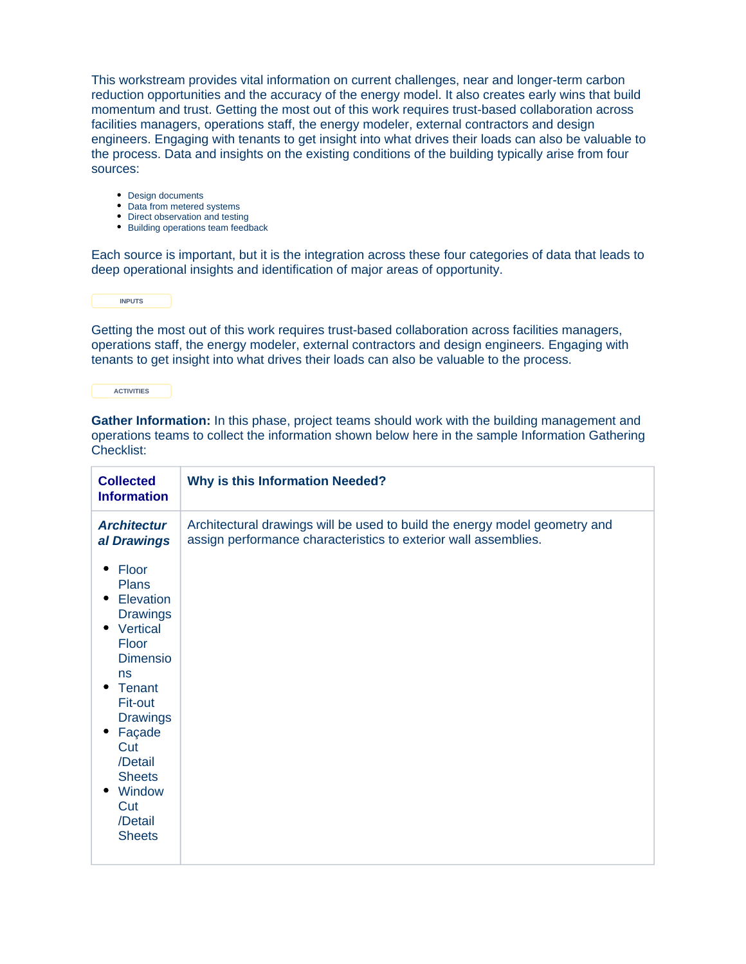This workstream provides vital information on current challenges, near and longer-term carbon reduction opportunities and the accuracy of the energy model. It also creates early wins that build momentum and trust. Getting the most out of this work requires trust-based collaboration across facilities managers, operations staff, the energy modeler, external contractors and design engineers. Engaging with tenants to get insight into what drives their loads can also be valuable to the process. Data and insights on the existing conditions of the building typically arise from four sources:

- Design documents
- Data from metered systems
- Direct observation and testing
- Building operations team feedback

Each source is important, but it is the integration across these four categories of data that leads to deep operational insights and identification of major areas of opportunity.

**INPUTS**

Getting the most out of this work requires trust-based collaboration across facilities managers, operations staff, the energy modeler, external contractors and design engineers. Engaging with tenants to get insight into what drives their loads can also be valuable to the process.

**ACTIVITIES**

**Gather Information:** In this phase, project teams should work with the building management and operations teams to collect the information shown below here in the sample Information Gathering Checklist:

| <b>Collected</b><br><b>Information</b>                                                                                                                                                                          | <b>Why is this Information Needed?</b>                                                                                                        |  |
|-----------------------------------------------------------------------------------------------------------------------------------------------------------------------------------------------------------------|-----------------------------------------------------------------------------------------------------------------------------------------------|--|
| <b>Architectur</b><br>al Drawings<br>Floor<br><b>Plans</b><br>Elevation<br><b>Drawings</b><br>• Vertical<br>Floor<br><b>Dimensio</b><br>ns<br><b>Tenant</b><br>٠<br>Fit-out<br><b>Drawings</b><br>Façade<br>Cut | Architectural drawings will be used to build the energy model geometry and<br>assign performance characteristics to exterior wall assemblies. |  |
| /Detail<br><b>Sheets</b><br>Window<br>٠<br>Cut<br>/Detail<br><b>Sheets</b>                                                                                                                                      |                                                                                                                                               |  |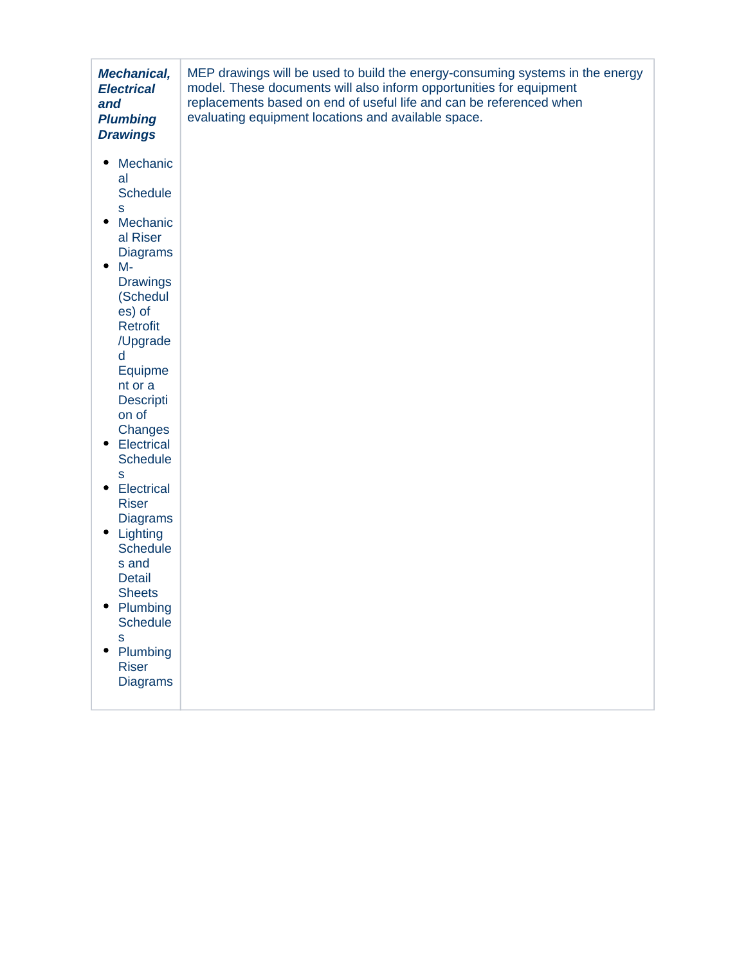| <b>Mechanical,</b><br><b>Electrical</b><br>and<br><b>Plumbing</b><br><b>Drawings</b>                                                                                                                                                                                                                                                                                                                                                                                                                                      | MEP drawings will be used to build the energy-consuming systems in the energy<br>model. These documents will also inform opportunities for equipment<br>replacements based on end of useful life and can be referenced when<br>evaluating equipment locations and available space. |
|---------------------------------------------------------------------------------------------------------------------------------------------------------------------------------------------------------------------------------------------------------------------------------------------------------------------------------------------------------------------------------------------------------------------------------------------------------------------------------------------------------------------------|------------------------------------------------------------------------------------------------------------------------------------------------------------------------------------------------------------------------------------------------------------------------------------|
| Mechanic<br>al<br><b>Schedule</b><br>S<br>Mechanic<br>٠<br>al Riser<br><b>Diagrams</b><br>$M -$<br>٠<br><b>Drawings</b><br>(Schedul<br>es) of<br><b>Retrofit</b><br>/Upgrade<br>d<br>Equipme<br>nt or a<br><b>Descripti</b><br>on of<br>Changes<br>Electrical<br>٠<br><b>Schedule</b><br>S<br><b>Electrical</b><br>٠<br><b>Riser</b><br><b>Diagrams</b><br>Lighting<br>٠<br><b>Schedule</b><br>s and<br><b>Detail</b><br><b>Sheets</b><br>Plumbing<br><b>Schedule</b><br>S<br>Plumbing<br><b>Riser</b><br><b>Diagrams</b> |                                                                                                                                                                                                                                                                                    |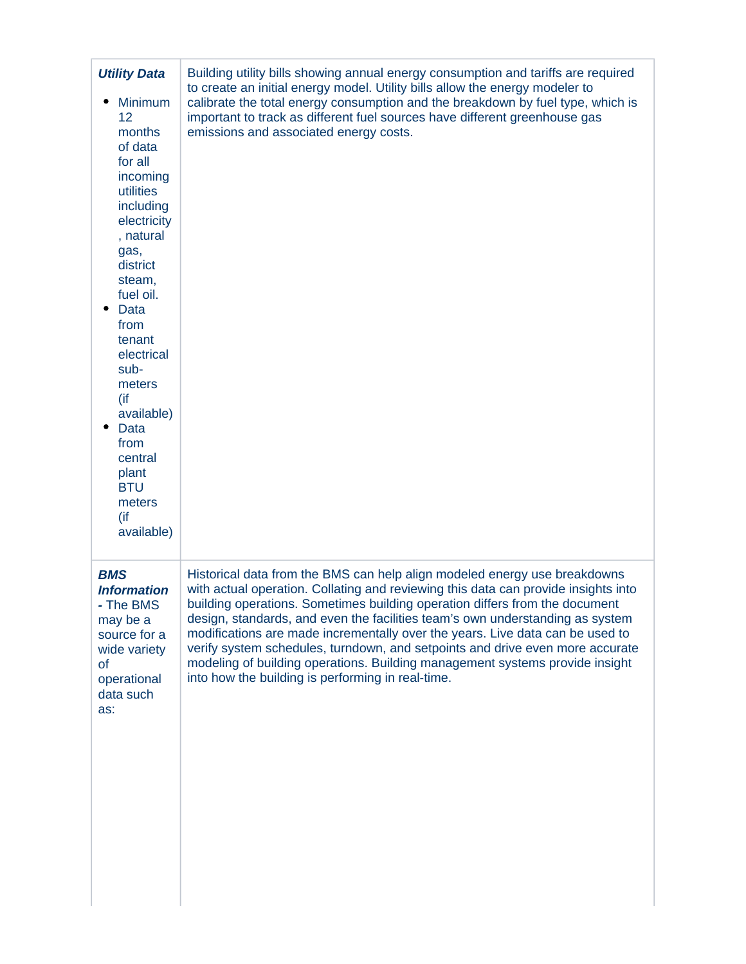| <b>Utility Data</b><br><b>Minimum</b><br>12<br>months<br>of data<br>for all<br>incoming<br>utilities<br>including<br>electricity<br>, natural<br>gas,<br>district<br>steam,<br>fuel oil.<br><b>Data</b><br>from<br>tenant<br>electrical<br>sub-<br>meters<br>(if<br>available)<br>Data<br>from<br>central<br>plant<br><b>BTU</b><br>meters<br>(if<br>available) | Building utility bills showing annual energy consumption and tariffs are required<br>to create an initial energy model. Utility bills allow the energy modeler to<br>calibrate the total energy consumption and the breakdown by fuel type, which is<br>important to track as different fuel sources have different greenhouse gas<br>emissions and associated energy costs.                                                                                                                                                                                                                                                           |
|-----------------------------------------------------------------------------------------------------------------------------------------------------------------------------------------------------------------------------------------------------------------------------------------------------------------------------------------------------------------|----------------------------------------------------------------------------------------------------------------------------------------------------------------------------------------------------------------------------------------------------------------------------------------------------------------------------------------------------------------------------------------------------------------------------------------------------------------------------------------------------------------------------------------------------------------------------------------------------------------------------------------|
| <b>BMS</b><br><b>Information</b><br>- The BMS<br>may be a<br>source for a<br>wide variety<br>of<br>operational<br>data such<br>as:                                                                                                                                                                                                                              | Historical data from the BMS can help align modeled energy use breakdowns<br>with actual operation. Collating and reviewing this data can provide insights into<br>building operations. Sometimes building operation differs from the document<br>design, standards, and even the facilities team's own understanding as system<br>modifications are made incrementally over the years. Live data can be used to<br>verify system schedules, turndown, and setpoints and drive even more accurate<br>modeling of building operations. Building management systems provide insight<br>into how the building is performing in real-time. |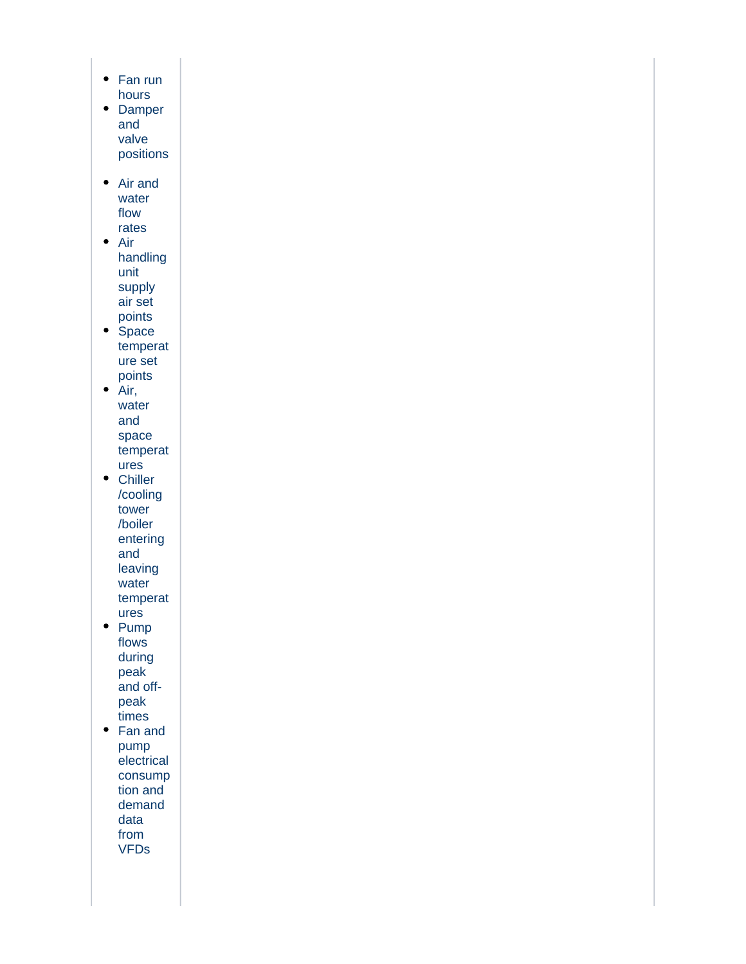- Fan run hours
- Damper and valve positions
- Air and water flow rates
- Air handling unit supply air set points
- Space temperat ure set points
- $\bullet$  Air, water and space temperat ures
- Chiller /cooling tower /boiler entering and leaving water temperat
- ures • Pump flows during peak and off-
- peak times • Fan and pump
- electrical consump tion and demand data from VFDs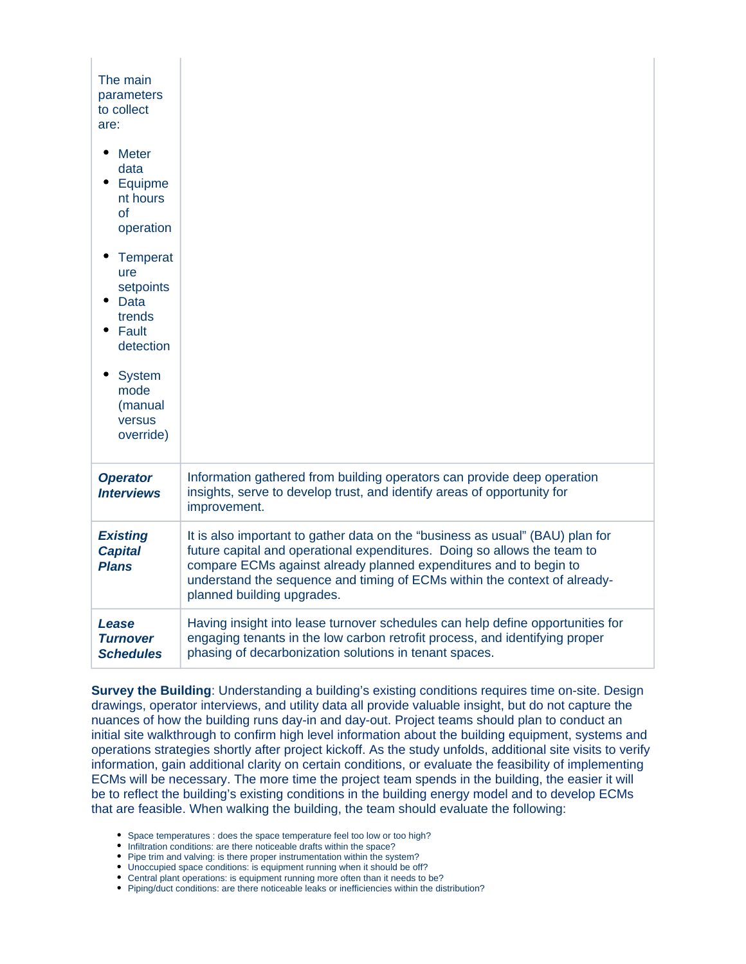| The main<br>parameters<br>to collect<br>are:                                |                                                                                                                                                                                                                                                                                                                                           |
|-----------------------------------------------------------------------------|-------------------------------------------------------------------------------------------------------------------------------------------------------------------------------------------------------------------------------------------------------------------------------------------------------------------------------------------|
| Meter<br>data<br>Equipme<br>nt hours<br>of<br>operation                     |                                                                                                                                                                                                                                                                                                                                           |
| <b>Temperat</b><br>ure<br>setpoints<br>Data<br>trends<br>Fault<br>detection |                                                                                                                                                                                                                                                                                                                                           |
| <b>System</b><br>mode<br>(manual<br>versus<br>override)                     |                                                                                                                                                                                                                                                                                                                                           |
| <b>Operator</b><br><b>Interviews</b>                                        | Information gathered from building operators can provide deep operation<br>insights, serve to develop trust, and identify areas of opportunity for<br>improvement.                                                                                                                                                                        |
| <b>Existing</b><br><b>Capital</b><br><b>Plans</b>                           | It is also important to gather data on the "business as usual" (BAU) plan for<br>future capital and operational expenditures. Doing so allows the team to<br>compare ECMs against already planned expenditures and to begin to<br>understand the sequence and timing of ECMs within the context of already-<br>planned building upgrades. |
| Lease<br><b>Turnover</b><br><b>Schedules</b>                                | Having insight into lease turnover schedules can help define opportunities for<br>engaging tenants in the low carbon retrofit process, and identifying proper<br>phasing of decarbonization solutions in tenant spaces.                                                                                                                   |

**Survey the Building**: Understanding a building's existing conditions requires time on-site. Design drawings, operator interviews, and utility data all provide valuable insight, but do not capture the nuances of how the building runs day-in and day-out. Project teams should plan to conduct an initial site walkthrough to confirm high level information about the building equipment, systems and operations strategies shortly after project kickoff. As the study unfolds, additional site visits to verify information, gain additional clarity on certain conditions, or evaluate the feasibility of implementing ECMs will be necessary. The more time the project team spends in the building, the easier it will be to reflect the building's existing conditions in the building energy model and to develop ECMs that are feasible. When walking the building, the team should evaluate the following:

- Space temperatures : does the space temperature feel too low or too high?
- Infiltration conditions: are there noticeable drafts within the space?
- Pipe trim and valving: is there proper instrumentation within the system?
- Unoccupied space conditions: is equipment running when it should be off?
- Central plant operations: is equipment running more often than it needs to be?
- Piping/duct conditions: are there noticeable leaks or inefficiencies within the distribution?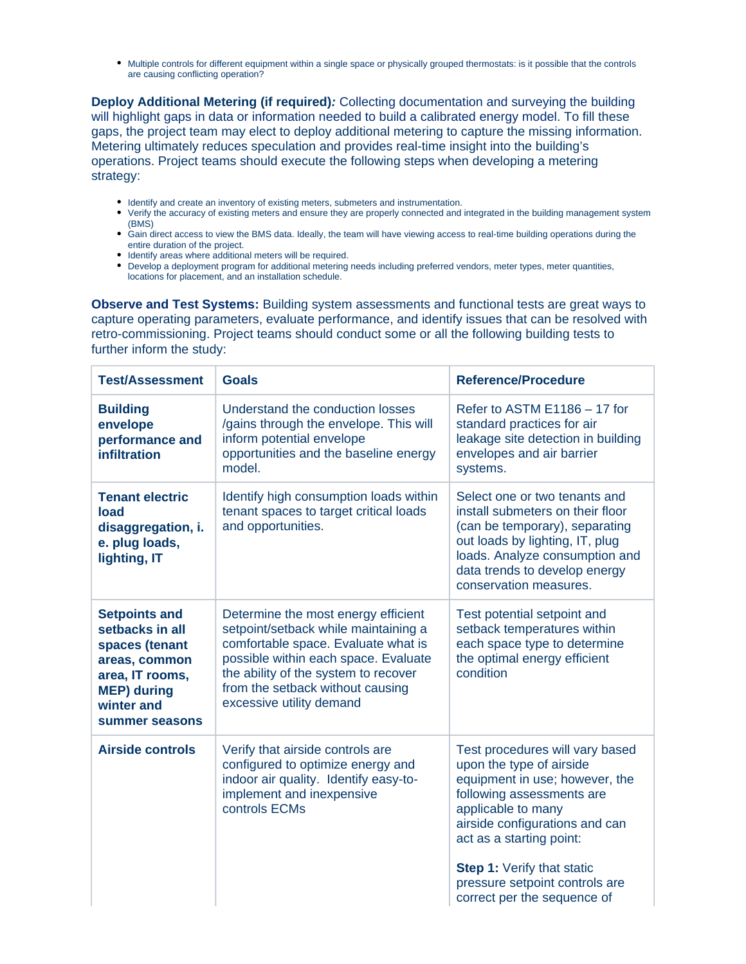Multiple controls for different equipment within a single space or physically grouped thermostats: is it possible that the controls are causing conflicting operation?

**Deploy Additional Metering (if required):** Collecting documentation and surveying the building will highlight gaps in data or information needed to build a calibrated energy model. To fill these gaps, the project team may elect to deploy additional metering to capture the missing information. Metering ultimately reduces speculation and provides real-time insight into the building's operations. Project teams should execute the following steps when developing a metering strategy:

- Identify and create an inventory of existing meters, submeters and instrumentation.
- Verify the accuracy of existing meters and ensure they are properly connected and integrated in the building management system (BMS)
- Gain direct access to view the BMS data. Ideally, the team will have viewing access to real-time building operations during the entire duration of the project.
- Identify areas where additional meters will be required.
- Develop a deployment program for additional metering needs including preferred vendors, meter types, meter quantities, locations for placement, and an installation schedule.

**Observe and Test Systems:** Building system assessments and functional tests are great ways to capture operating parameters, evaluate performance, and identify issues that can be resolved with retro-commissioning. Project teams should conduct some or all the following building tests to further inform the study:

| <b>Test/Assessment</b>                                                                                                                              | <b>Goals</b>                                                                                                                                                                                                                                                       | <b>Reference/Procedure</b>                                                                                                                                                                                                                                                                                           |
|-----------------------------------------------------------------------------------------------------------------------------------------------------|--------------------------------------------------------------------------------------------------------------------------------------------------------------------------------------------------------------------------------------------------------------------|----------------------------------------------------------------------------------------------------------------------------------------------------------------------------------------------------------------------------------------------------------------------------------------------------------------------|
| <b>Building</b><br>envelope<br>performance and<br>infiltration                                                                                      | Understand the conduction losses<br>/gains through the envelope. This will<br>inform potential envelope<br>opportunities and the baseline energy<br>model.                                                                                                         | Refer to ASTM $E1186 - 17$ for<br>standard practices for air<br>leakage site detection in building<br>envelopes and air barrier<br>systems.                                                                                                                                                                          |
| <b>Tenant electric</b><br>load<br>disaggregation, i.<br>e. plug loads,<br>lighting, IT                                                              | Identify high consumption loads within<br>tenant spaces to target critical loads<br>and opportunities.                                                                                                                                                             | Select one or two tenants and<br>install submeters on their floor<br>(can be temporary), separating<br>out loads by lighting, IT, plug<br>loads. Analyze consumption and<br>data trends to develop energy<br>conservation measures.                                                                                  |
| <b>Setpoints and</b><br>setbacks in all<br>spaces (tenant<br>areas, common<br>area, IT rooms,<br><b>MEP)</b> during<br>winter and<br>summer seasons | Determine the most energy efficient<br>setpoint/setback while maintaining a<br>comfortable space. Evaluate what is<br>possible within each space. Evaluate<br>the ability of the system to recover<br>from the setback without causing<br>excessive utility demand | Test potential setpoint and<br>setback temperatures within<br>each space type to determine<br>the optimal energy efficient<br>condition                                                                                                                                                                              |
| <b>Airside controls</b>                                                                                                                             | Verify that airside controls are<br>configured to optimize energy and<br>indoor air quality. Identify easy-to-<br>implement and inexpensive<br>controls ECMs                                                                                                       | Test procedures will vary based<br>upon the type of airside<br>equipment in use; however, the<br>following assessments are<br>applicable to many<br>airside configurations and can<br>act as a starting point:<br><b>Step 1: Verify that static</b><br>pressure setpoint controls are<br>correct per the sequence of |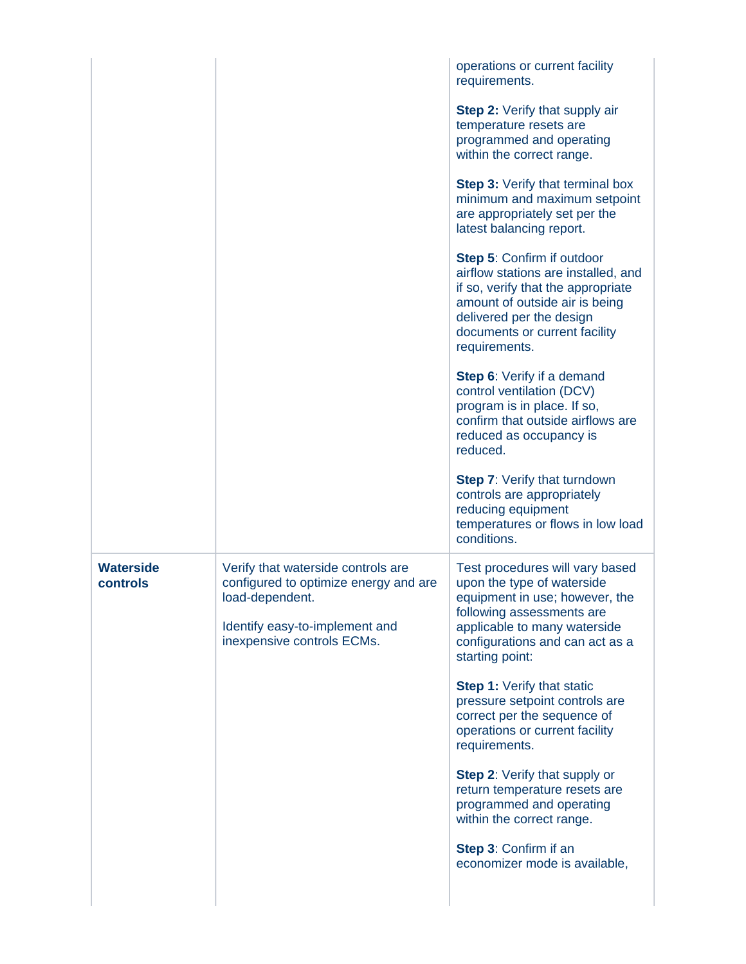|                              |                                                                                                                                                                | operations or current facility<br>requirements.<br><b>Step 2:</b> Verify that supply air<br>temperature resets are<br>programmed and operating<br>within the correct range.<br><b>Step 3: Verify that terminal box</b><br>minimum and maximum setpoint<br>are appropriately set per the<br>latest balancing report.<br><b>Step 5: Confirm if outdoor</b><br>airflow stations are installed, and<br>if so, verify that the appropriate<br>amount of outside air is being<br>delivered per the design<br>documents or current facility<br>requirements.<br>Step 6: Verify if a demand<br>control ventilation (DCV)<br>program is in place. If so,<br>confirm that outside airflows are<br>reduced as occupancy is<br>reduced.<br><b>Step 7: Verify that turndown</b><br>controls are appropriately<br>reducing equipment |
|------------------------------|----------------------------------------------------------------------------------------------------------------------------------------------------------------|------------------------------------------------------------------------------------------------------------------------------------------------------------------------------------------------------------------------------------------------------------------------------------------------------------------------------------------------------------------------------------------------------------------------------------------------------------------------------------------------------------------------------------------------------------------------------------------------------------------------------------------------------------------------------------------------------------------------------------------------------------------------------------------------------------------------|
| <b>Waterside</b><br>controls | Verify that waterside controls are<br>configured to optimize energy and are<br>load-dependent.<br>Identify easy-to-implement and<br>inexpensive controls ECMs. | temperatures or flows in low load<br>conditions.<br>Test procedures will vary based<br>upon the type of waterside<br>equipment in use; however, the<br>following assessments are<br>applicable to many waterside<br>configurations and can act as a<br>starting point:<br><b>Step 1:</b> Verify that static<br>pressure setpoint controls are<br>correct per the sequence of<br>operations or current facility<br>requirements.<br><b>Step 2: Verify that supply or</b><br>return temperature resets are<br>programmed and operating<br>within the correct range.<br>Step 3: Confirm if an<br>economizer mode is available,                                                                                                                                                                                            |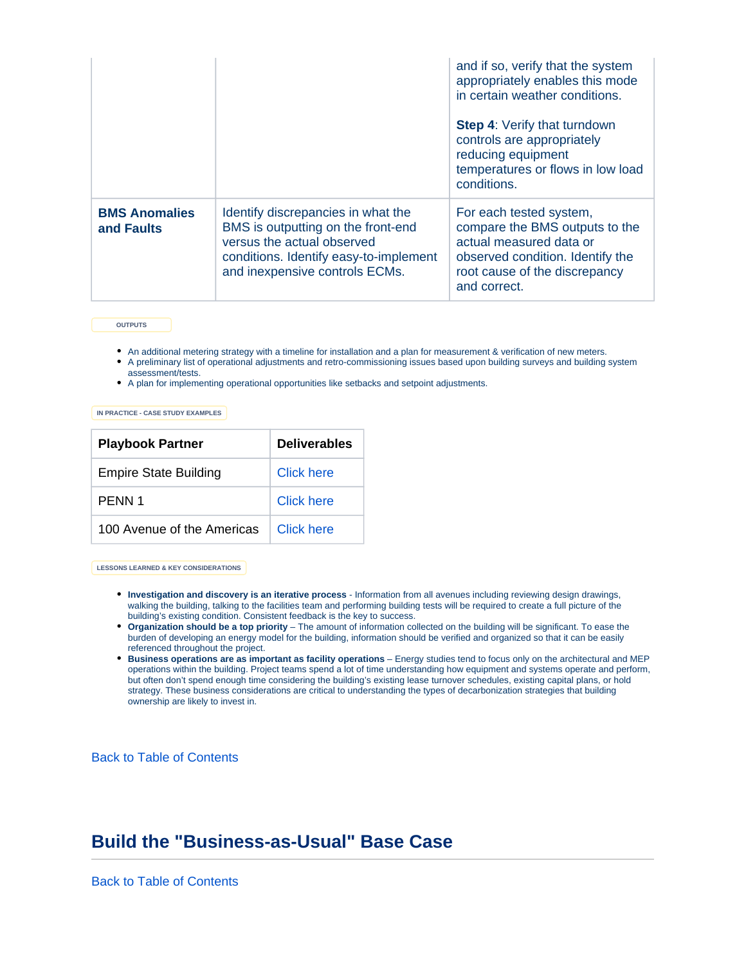|                                    |                                                                                                                                                                                    | and if so, verify that the system<br>appropriately enables this mode<br>in certain weather conditions.<br><b>Step 4: Verify that turndown</b><br>controls are appropriately<br>reducing equipment<br>temperatures or flows in low load<br>conditions. |
|------------------------------------|------------------------------------------------------------------------------------------------------------------------------------------------------------------------------------|-------------------------------------------------------------------------------------------------------------------------------------------------------------------------------------------------------------------------------------------------------|
| <b>BMS Anomalies</b><br>and Faults | Identify discrepancies in what the<br>BMS is outputting on the front-end<br>versus the actual observed<br>conditions. Identify easy-to-implement<br>and inexpensive controls ECMs. | For each tested system,<br>compare the BMS outputs to the<br>actual measured data or<br>observed condition. Identify the<br>root cause of the discrepancy<br>and correct.                                                                             |

**OUTPUTS**

- An additional metering strategy with a timeline for installation and a plan for measurement & verification of new meters.
- A preliminary list of operational adjustments and retro-commissioning issues based upon building surveys and building system assessment/tests.
- A plan for implementing operational opportunities like setbacks and setpoint adjustments.

**IN PRACTICE - CASE STUDY EXAMPLES**

| <b>Playbook Partner</b>      | <b>Deliverables</b> |
|------------------------------|---------------------|
| <b>Empire State Building</b> | Click here          |
| PFNN 1                       | Click here          |
| 100 Avenue of the Americas   | Click here          |

**LESSONS LEARNED & KEY CONSIDERATIONS**

- **Investigation and discovery is an iterative process**  Information from all avenues including reviewing design drawings, walking the building, talking to the facilities team and performing building tests will be required to create a full picture of the building's existing condition. Consistent feedback is the key to success.
- **Organization should be a top priority**  The amount of information collected on the building will be significant. To ease the burden of developing an energy model for the building, information should be verified and organized so that it can be easily referenced throughout the project.
- **Business operations are as important as facility operations** Energy studies tend to focus only on the architectural and MEP operations within the building. Project teams spend a lot of time understanding how equipment and systems operate and perform, but often don't spend enough time considering the building's existing lease turnover schedules, existing capital plans, or hold strategy. These business considerations are critical to understanding the types of decarbonization strategies that building ownership are likely to invest in.

[Back to Table of Contents](#page-0-2)

### <span id="page-8-0"></span>**Build the "Business-as-Usual" Base Case**

[Back to Table of Contents](#page-0-2)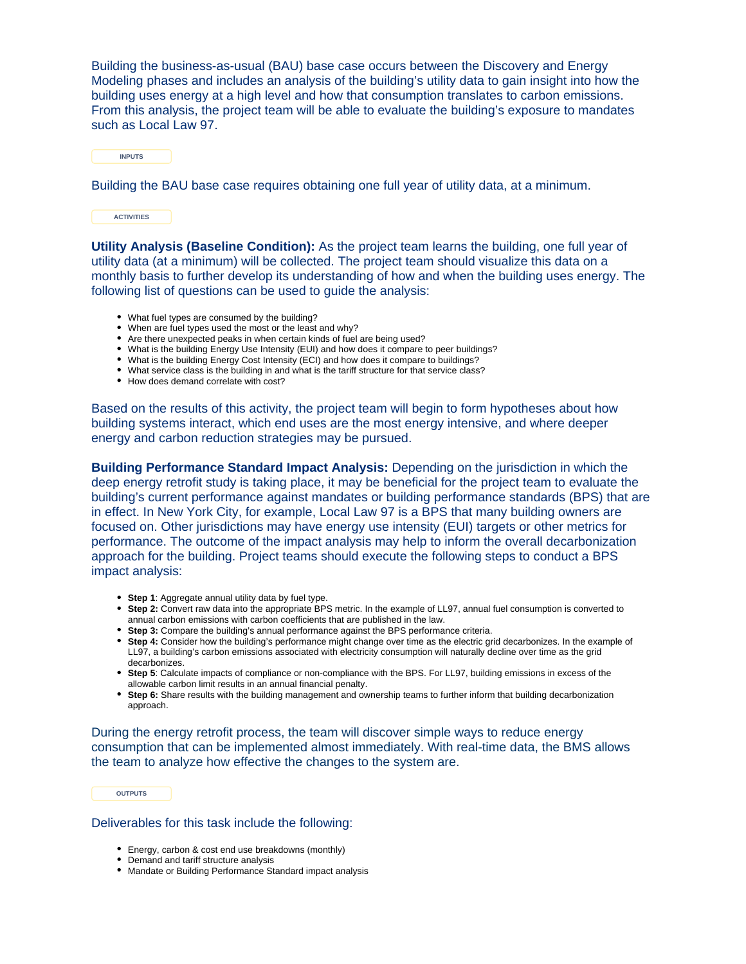Building the business-as-usual (BAU) base case occurs between the Discovery and Energy Modeling phases and includes an analysis of the building's utility data to gain insight into how the building uses energy at a high level and how that consumption translates to carbon emissions. From this analysis, the project team will be able to evaluate the building's exposure to mandates such as Local Law 97.

**INPUTS**

Building the BAU base case requires obtaining one full year of utility data, at a minimum.

**ACTIVITIES**

**Utility Analysis (Baseline Condition):** As the project team learns the building, one full year of utility data (at a minimum) will be collected. The project team should visualize this data on a monthly basis to further develop its understanding of how and when the building uses energy. The following list of questions can be used to guide the analysis:

- What fuel types are consumed by the building?
- When are fuel types used the most or the least and why?
- Are there unexpected peaks in when certain kinds of fuel are being used?
- What is the building Energy Use Intensity (EUI) and how does it compare to peer buildings?
- What is the building Energy Cost Intensity (ECI) and how does it compare to buildings?
- What service class is the building in and what is the tariff structure for that service class?
- How does demand correlate with cost?

Based on the results of this activity, the project team will begin to form hypotheses about how building systems interact, which end uses are the most energy intensive, and where deeper energy and carbon reduction strategies may be pursued.

**Building Performance Standard Impact Analysis:** Depending on the jurisdiction in which the deep energy retrofit study is taking place, it may be beneficial for the project team to evaluate the building's current performance against mandates or building performance standards (BPS) that are in effect. In New York City, for example, Local Law 97 is a BPS that many building owners are focused on. Other jurisdictions may have energy use intensity (EUI) targets or other metrics for performance. The outcome of the impact analysis may help to inform the overall decarbonization approach for the building. Project teams should execute the following steps to conduct a BPS impact analysis:

- **Step 1**: Aggregate annual utility data by fuel type.
- **Step 2:** Convert raw data into the appropriate BPS metric. In the example of LL97, annual fuel consumption is converted to annual carbon emissions with carbon coefficients that are published in the law.
- **Step 3:** Compare the building's annual performance against the BPS performance criteria.
- **Step 4:** Consider how the building's performance might change over time as the electric grid decarbonizes. In the example of LL97, a building's carbon emissions associated with electricity consumption will naturally decline over time as the grid decarbonizes.
- **Step 5**: Calculate impacts of compliance or non-compliance with the BPS. For LL97, building emissions in excess of the allowable carbon limit results in an annual financial penalty.
- **Step 6:** Share results with the building management and ownership teams to further inform that building decarbonization approach.

During the energy retrofit process, the team will discover simple ways to reduce energy consumption that can be implemented almost immediately. With real-time data, the BMS allows the team to analyze how effective the changes to the system are.

**OUTPUTS**

Deliverables for this task include the following:

- Energy, carbon & cost end use breakdowns (monthly)
- Demand and tariff structure analysis
- Mandate or Building Performance Standard impact analysis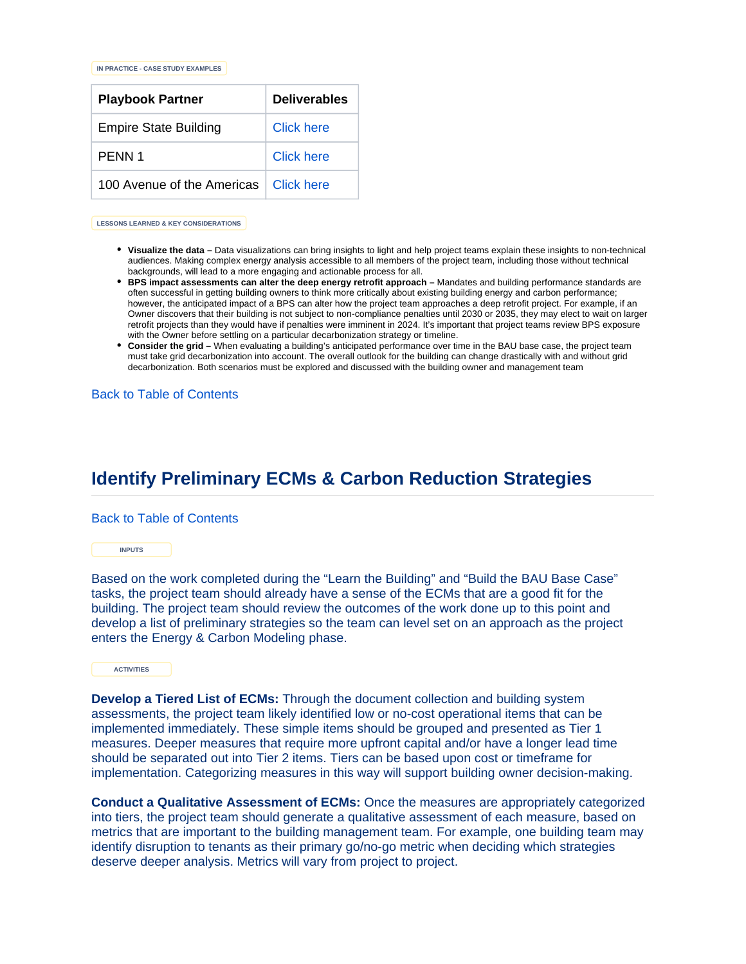**IN PRACTICE - CASE STUDY EXAMPLES**

| <b>Playbook Partner</b>      | <b>Deliverables</b> |
|------------------------------|---------------------|
| <b>Empire State Building</b> | Click here          |
| PFNN 1                       | Click here          |
| 100 Avenue of the Americas   | Click here          |

**LESSONS LEARNED & KEY CONSIDERATIONS**

- **Visualize the data –** Data visualizations can bring insights to light and help project teams explain these insights to non-technical audiences. Making complex energy analysis accessible to all members of the project team, including those without technical backgrounds, will lead to a more engaging and actionable process for all.
- **BPS impact assessments can alter the deep energy retrofit approach –** Mandates and building performance standards are often successful in getting building owners to think more critically about existing building energy and carbon performance; however, the anticipated impact of a BPS can alter how the project team approaches a deep retrofit project. For example, if an Owner discovers that their building is not subject to non-compliance penalties until 2030 or 2035, they may elect to wait on larger retrofit projects than they would have if penalties were imminent in 2024. It's important that project teams review BPS exposure with the Owner before settling on a particular decarbonization strategy or timeline.
- **Consider the grid** When evaluating a building's anticipated performance over time in the BAU base case, the project team must take grid decarbonization into account. The overall outlook for the building can change drastically with and without grid decarbonization. Both scenarios must be explored and discussed with the building owner and management team

[Back to Table of Contents](#page-0-2)

## <span id="page-10-0"></span>**Identify Preliminary ECMs & Carbon Reduction Strategies**

[Back to Table of Contents](#page-0-2)

**INPUTS**

Based on the work completed during the "Learn the Building" and "Build the BAU Base Case" tasks, the project team should already have a sense of the ECMs that are a good fit for the building. The project team should review the outcomes of the work done up to this point and develop a list of preliminary strategies so the team can level set on an approach as the project enters the Energy & Carbon Modeling phase.

**ACTIVITIES**

**Develop a Tiered List of ECMs:** Through the document collection and building system assessments, the project team likely identified low or no-cost operational items that can be implemented immediately. These simple items should be grouped and presented as Tier 1 measures. Deeper measures that require more upfront capital and/or have a longer lead time should be separated out into Tier 2 items. Tiers can be based upon cost or timeframe for implementation. Categorizing measures in this way will support building owner decision-making.

**Conduct a Qualitative Assessment of ECMs:** Once the measures are appropriately categorized into tiers, the project team should generate a qualitative assessment of each measure, based on metrics that are important to the building management team. For example, one building team may identify disruption to tenants as their primary go/no-go metric when deciding which strategies deserve deeper analysis. Metrics will vary from project to project.